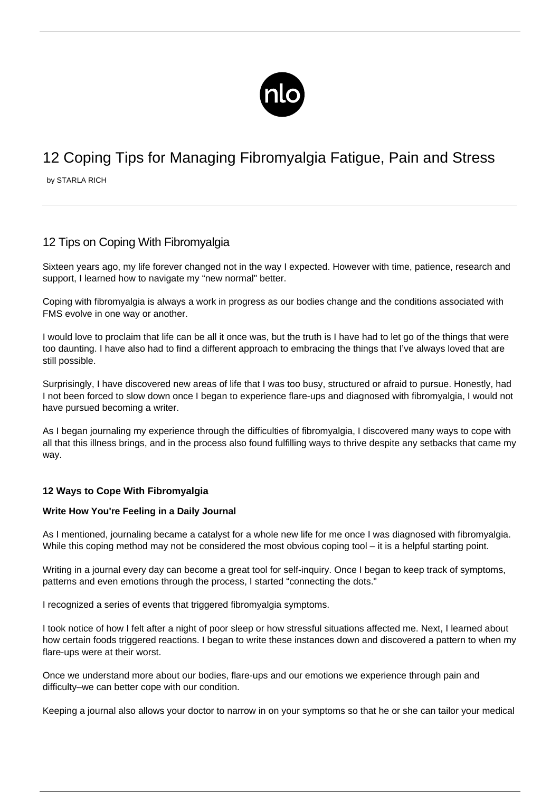

# 12 Coping Tips for Managing Fibromyalgia Fatigue, Pain and Stress

by STARLA RICH

# 12 Tips on Coping With Fibromyalgia

Sixteen years ago, my life forever changed not in the way I expected. However with time, patience, research and support, I learned how to navigate my "new normal" better.

Coping with fibromyalgia is always a work in progress as our bodies change and the conditions associated with FMS evolve in one way or another.

I would love to proclaim that life can be all it once was, but the truth is I have had to let go of the things that were too daunting. I have also had to find a different approach to embracing the things that I've always loved that are still possible.

Surprisingly, I have discovered new areas of life that I was too busy, structured or afraid to pursue. Honestly, had I not been forced to slow down once I began to experience flare-ups and diagnosed with fibromyalgia, I would not have pursued becoming a writer.

As I began journaling my experience through the difficulties of fibromyalgia, I discovered many ways to cope with all that this illness brings, and in the process also found fulfilling ways to thrive despite any setbacks that came my way.

# **12 Ways to Cope With Fibromyalgia**

#### **Write How You're Feeling in a Daily Journal**

As I mentioned, journaling became a catalyst for a whole new life for me once I was diagnosed with fibromyalgia. While this coping method may not be considered the most obvious coping tool – it is a helpful starting point.

Writing in a journal every day can become a great tool for self-inquiry. Once I began to keep track of symptoms, patterns and even emotions through the process, I started "connecting the dots."

I recognized a series of events that triggered fibromyalgia symptoms.

I took notice of how I felt after a night of poor sleep or how stressful situations affected me. Next, I learned about [how certain foods triggered reactions](/food-list/). I began to write these instances down and discovered a pattern to when my flare-ups were at their worst.

Once we understand more about our bodies, flare-ups and our emotions we experience through pain and difficulty–we can better cope with our condition.

Keeping a journal also allows your doctor to narrow in on your symptoms so that he or she can tailor your medical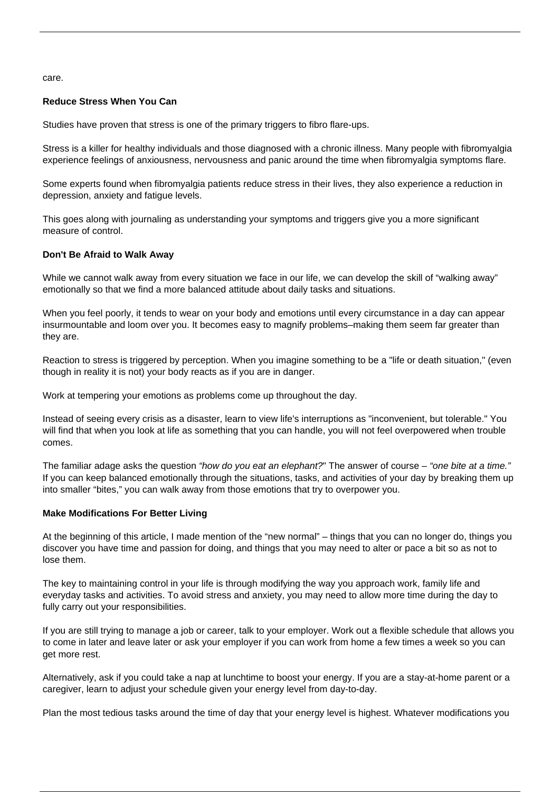care.

#### **Reduce Stress When You Can**

Studies have proven that stress is one of the primary [triggers to fibro flare-ups.](/flare-up/)

Stress is a killer for healthy individuals and those diagnosed with a chronic illness. Many people with fibromyalgia experience feelings of anxiousness, nervousness and panic around the time when fibromyalgia symptoms flare.

Some experts found when fibromyalgia patients reduce stress in their lives, they also experience a reduction in depression, anxiety and fatigue levels.

This goes along with journaling as understanding your symptoms and triggers give you a more significant measure of control.

#### **Don't Be Afraid to Walk Away**

While we cannot walk away from every situation we face in our life, we can develop the skill of "walking away" emotionally so that we find a more balanced attitude about [daily tasks](http://fibromyalgialiving.today/blog/managing-day-to-day-tasks-with-fibromyalgia/) and situations.

When you feel poorly, it tends to wear on your body and emotions until every circumstance in a day can appear insurmountable and loom over you. It becomes easy to magnify problems–making them seem far greater than they are.

Reaction to stress is triggered by perception. When you imagine something to be a "life or death situation," (even though in reality it is not) your body reacts as if you are in danger.

Work at tempering your emotions as problems come up throughout the day.

Instead of seeing every crisis as a disaster, learn to view life's interruptions as "inconvenient, but tolerable." You will find that when you look at life as something that you can handle, you will not feel overpowered when trouble comes.

The familiar adage asks the question "how do you eat an elephant?" The answer of course – "one bite at a time." If you can keep balanced emotionally through the situations, tasks, and activities of your day by breaking them up into smaller "bites," you can walk away from those emotions that try to overpower you.

#### **Make Modifications For Better Living**

At the beginning of this article, I made mention of the "new normal" – things that you can no longer do, things you discover you have time and passion for doing, and things that you may need to alter or pace a bit so as not to lose them.

The key to maintaining control in your life is through modifying the way you approach work, family life and everyday tasks and activities. To avoid stress and anxiety, you may need to allow more time during the day to fully carry out your responsibilities.

If you are still trying to manage a job or career, talk to your employer. Work out a flexible schedule that allows you to come in later and leave later or ask your employer if you can work from home a few times a week so you can get more rest.

Alternatively, ask if you could take a nap at lunchtime to boost your energy. If you are a stay-at-home parent or a caregiver, learn to adjust your schedule given your energy level from day-to-day.

Plan the most tedious tasks around the time of day that your energy level is highest. Whatever modifications you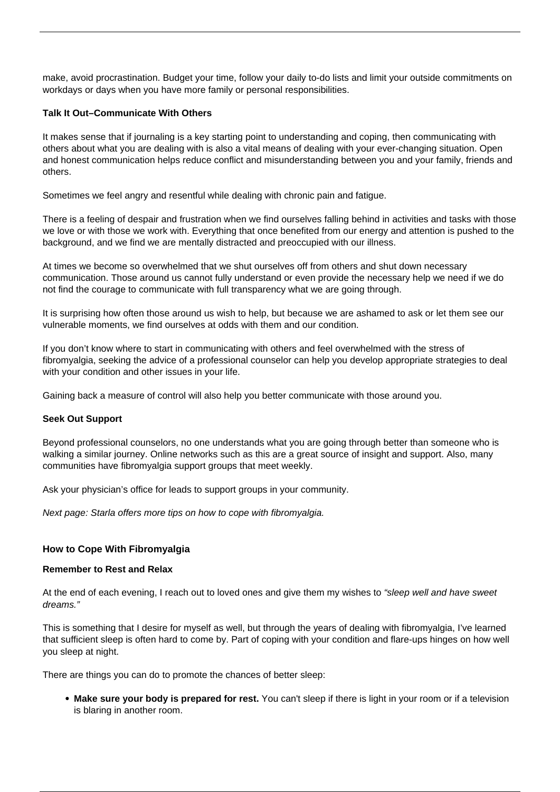make, avoid procrastination. Budget your time, follow your daily to-do lists and limit your outside commitments on workdays or days when you have more family or personal responsibilities.

#### **Talk It Out–Communicate With Others**

It makes sense that if journaling is a key starting point to understanding and coping, then communicating with others about what you are dealing with is also a vital means of dealing with your ever-changing situation. Open and honest communication helps reduce conflict and misunderstanding between you and your family, friends and others.

Sometimes we feel angry and resentful while [dealing with chronic pain](/habits-relieve-pain/) and fatigue.

There is a feeling of despair and frustration when we find ourselves falling behind in activities and tasks with those we love or with those we work with. Everything that once benefited from our energy and attention is pushed to the background, and we find we are mentally distracted and preoccupied with our illness.

At times we become so overwhelmed that we shut ourselves off from others and shut down necessary communication. Those around us cannot fully understand or even provide the necessary help we need if we do not find the courage to communicate with full transparency what we are going through.

It is surprising how often those around us wish to help, but because we are ashamed to ask or let them see our vulnerable moments, we find ourselves at odds with them and our condition.

If you don't know where to start in communicating with others and feel overwhelmed with the stress of fibromyalgia, seeking the advice of a professional counselor can help you develop appropriate strategies to deal with your condition and other issues in your life.

Gaining back a measure of control will also help you better communicate with those around you.

#### **Seek Out Support**

Beyond professional counselors, no one understands what you are going through better than someone who is walking a similar journey. Online networks such as this are a great source of insight and support. Also, many communities have [fibromyalgia support groups](/fibromyalgia-support-groups/) that meet weekly.

Ask your physician's office for leads to support groups in your community.

Next page: Starla offers more tips on how to cope with fibromyalgia.

#### **How to Cope With Fibromyalgia**

#### **Remember to Rest and Relax**

At the end of each evening, I reach out to loved ones and give them my wishes to "sleep well and have sweet dreams."

This is something that I desire for myself as well, but through the years of dealing with fibromyalgia, I've learned that sufficient sleep is often hard to come by. Part of coping with your condition and flare-ups hinges on how well you sleep at night.

There are things you can do to promote the chances of better sleep:

**Make sure your body is prepared for rest.** You can't sleep if there is light in your room or if a television is blaring in another room.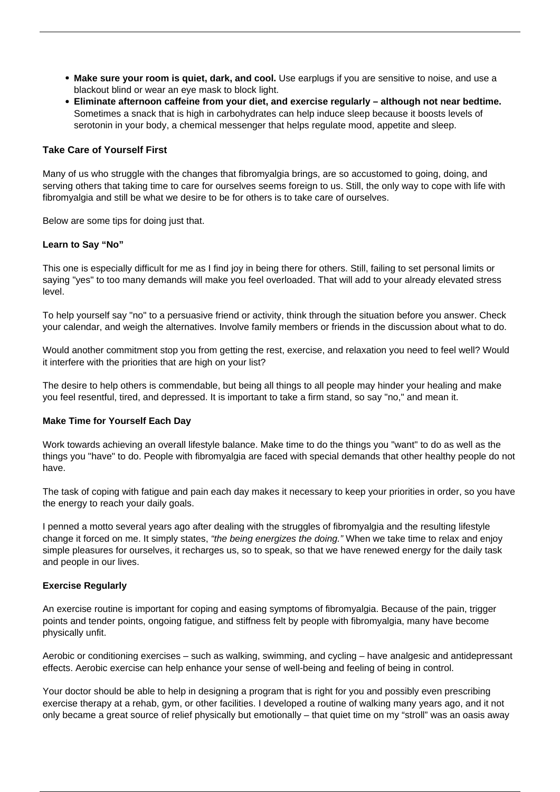- **Make sure your room is quiet, dark, and cool.** Use earplugs if you are sensitive to noise, and use a blackout blind or wear an eye mask to block light.
- **Eliminate afternoon caffeine from your diet, and exercise regularly although not near bedtime.** Sometimes a snack that is high in carbohydrates can help induce sleep because it boosts levels of serotonin in your body, a chemical messenger that helps regulate mood, appetite and sleep.

#### **Take Care of Yourself First**

Many of us who struggle with the changes that fibromyalgia brings, are so accustomed to going, doing, and serving others that taking time to care for ourselves seems foreign to us. Still, the only way to cope with life with fibromyalgia and still be what we desire to be for others is to take care of ourselves.

Below are some tips for doing just that.

#### **Learn to Say "No"**

This one is especially difficult for me as I find joy in being there for others. Still, failing to set personal limits or saying "yes" to too many demands will make you feel overloaded. That will add to your already elevated stress level.

To help yourself say "no" to a persuasive friend or activity, think through the situation before you answer. Check your calendar, and weigh the alternatives. Involve family members or friends in the discussion about what to do.

Would another commitment stop you from getting the rest, exercise, and relaxation you need to feel well? Would it interfere with the priorities that are high on your list?

The desire to help others is commendable, but being all things to all people may hinder your healing and make you feel resentful, tired, and depressed. It is important to take a firm stand, so say "no," and mean it.

#### **Make Time for Yourself Each Day**

Work towards achieving an overall lifestyle balance. Make time to do the things you "want" to do as well as the things you "have" to do. People with fibromyalgia are faced with special demands that other healthy people do not have.

The task of [coping with fatigue](/fibromyalgia-fatigue/) and pain each day makes it necessary to keep your priorities in order, so you have the energy to reach your daily goals.

I penned a motto several years ago after dealing with the struggles of fibromyalgia and the resulting lifestyle change it forced on me. It simply states, "the being energizes the doing." When we take time to relax and enjoy simple pleasures for ourselves, it recharges us, so to speak, so that we have renewed energy for the daily task and people in our lives.

#### **Exercise Regularly**

An exercise routine is important for coping and easing symptoms of fibromyalgia. Because of the pain, [trigger](/tender-points/) [points and tender points](/tender-points/), ongoing fatigue, and stiffness felt by people with fibromyalgia, many have become physically unfit.

Aerobic or conditioning exercises – such as walking, swimming, and cycling – have analgesic and antidepressant effects. Aerobic exercise can help enhance your sense of well-being and feeling of being in control.

Your doctor should be able to help in designing a program that is right for you and possibly even prescribing exercise therapy at a rehab, gym, or other facilities. I developed a routine of walking many years ago, and it not only became a great source of relief physically but emotionally – that quiet time on my "stroll" was an oasis away